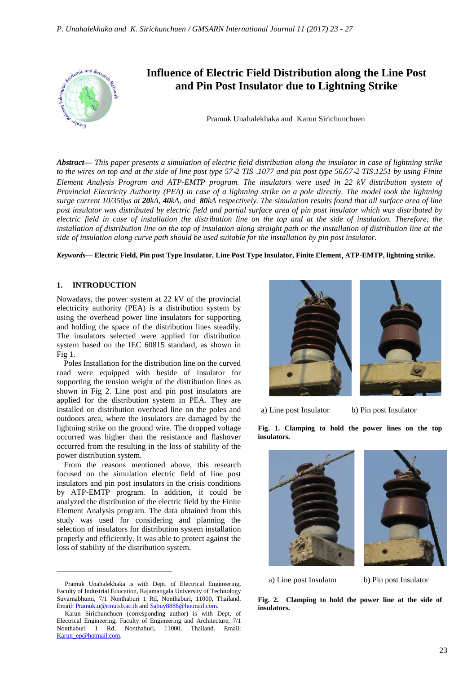

*Abstract***—** *This paper presents a simulation of electric field distribution along the insulator in case of lightning strike to the wires on top and at the side of line post type 57*-*2 TIS* .*1077 and pin post type 56*/*57*-*2 TIS*.*1251 by using Finite Element Analysis Program and ATP-EMTP program. The insulators were used in 22 kV distribution system of Provincial Electricity Authority (PEA) in case of a lightning strike on a pole directly. The model took the lightning surge current 10/350μs at 20kA, 40kA, and 80kA respectively. The simulation results found that all surface area of line post insulator was distributed by electric field and partial surface area of pin post insulator which was distributed by electric field in case of installation the distribution line on the top and at the side of insulation. Therefore, the installation of distribution line on the top of insulation along straight path or the installation of distribution line at the side of insulation along curve path should be used suitable for the installation by pin post insulator.*

*Keywords***— Electric Field, Pin post Type Insulator, Line Post Type Insulator, Finite Element**, **ATP-EMTP, lightning strike.**

#### **1. INTRODUCTION**

 $\overline{a}$ 

Nowadays, the power system at 22 kV of the provincial electricity authority (PEA) is a distribution system by using the overhead power line insulators for supporting and holding the space of the distribution lines steadily. The insulators selected were applied for distribution system based on the IEC 60815 standard, as shown in Fig 1.

Poles Installation for the distribution line on the curved road were equipped with beside of insulator for supporting the tension weight of the distribution lines as shown in Fig 2. Line post and pin post insulators are applied for the distribution system in PEA. They are installed on distribution overhead line on the poles and outdoors area, where the insulators are damaged by the lightning strike on the ground wire. The dropped voltage occurred was higher than the resistance and flashover occurred from the resulting in the loss of stability of the power distribution system.

From the reasons mentioned above, this research focused on the simulation electric field of line post insulators and pin post insulators in the crisis conditions by ATP-EMTP program. In addition, it could be analyzed the distribution of the electric field by the Finite Element Analysis program. The data obtained from this study was used for considering and planning the selection of insulators for distribution system installation properly and efficiently. It was able to protect against the loss of stability of the distribution system.



a) Line post Insulator b) Pin post Insulator

**Fig. 1. Clamping to hold the power lines on the top insulators.** 





a) Line post Insulator b) Pin post Insulator

**Fig. 2. Clamping to hold the power line at the side of insulators.**

Pramuk Unahalekhaka is with Dept. of Electrical Engineering, Faculty of Industrial Education, Rajamangala University of Technology Suvarnabhumi, 7/1 Nonthaburi 1 Rd, Nonthaburi, 11000, Thailand. Email: Pramuk.u@rmutsb.ac.th and Sabuy8888@hotmail.com.

Karun Sirichunchuen (corresponding author) is with Dept. of Electrical Engineering, Faculty of Engineering and Architecture, 7/1 Nonthaburi 1 Rd, Nonthaburi, 11000, Thailand. Email: Karun\_ep@hotmail.com.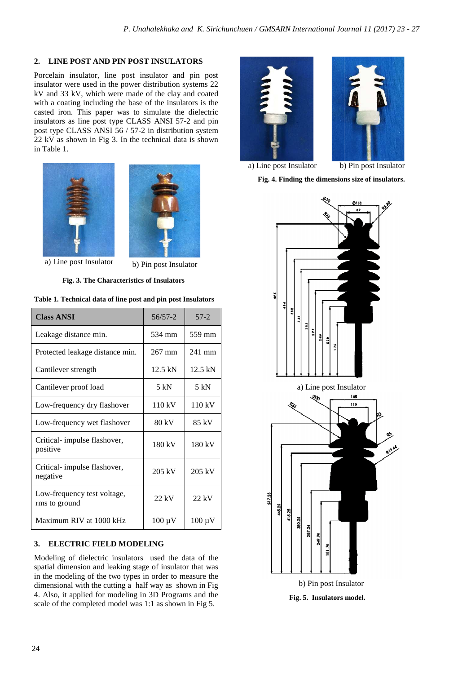# **2. LINE POST AND PIN POST INSULATORS**

Porcelain insulator, line post insulator and pin post insulator were used in the power distribution systems 22 kV and 33 kV, which were made of the clay and coated with a coating including the base of the insulators is the casted iron. This paper was to simulate the dielectric insulators as line post type CLASS ANSI 57 57-2 and pin post type CLASS ANSI 56 / 57-2 in distribution system 22 kV as shown in Fig 3. In the technical data is shown in Table 1.





a) Line post Insulator b) Pin post Insulator

| <b>Class ANSI</b>                            | $56/57 - 2$       | $57-2$            |
|----------------------------------------------|-------------------|-------------------|
| Leakage distance min.                        | 534 mm            | 559 mm            |
| Protected leakage distance min.              | $267$ mm          | $241$ mm          |
| Cantilever strength                          | $12.5 \text{ kN}$ | $12.5 \text{ kN}$ |
| Cantilever proof load                        | 5 kN              | 5 kN              |
| Low-frequency dry flashover                  | 110 kV            | 110 kV            |
| Low-frequency wet flashover                  | 80 kV             | 85 kV             |
| Critical-impulse flashover,<br>positive      | 180 kV            | 180 kV            |
| Critical-impulse flashover,<br>negative      | 205 kV            | 205 kV            |
| Low-frequency test voltage,<br>rms to ground | $22$ kV           | $22$ kV           |
| Maximum RIV at 1000 kHz                      | $100 \mu V$       | $100 \mu V$       |

**Table 1. Technical data of line post and pin post Insulators**

# **3. ELECTRIC FIELD MODELING**

Modeling of dielectric insulators used the data of the spatial dimension and leaking stage of insulator that was in the modeling of the two types in order to measure the dimensional with the cutting a half way as shown in Fig 4. Also, it applied for modeling in 3D Programs and the scale of the completed model was 1:1 as shown in Fig 5.





a) Line post Insulator b) Pin post Insulator

**Fig. 4. Finding the dimensions size of insulators insulators.** 



**Fig. 5. Insulators model model.**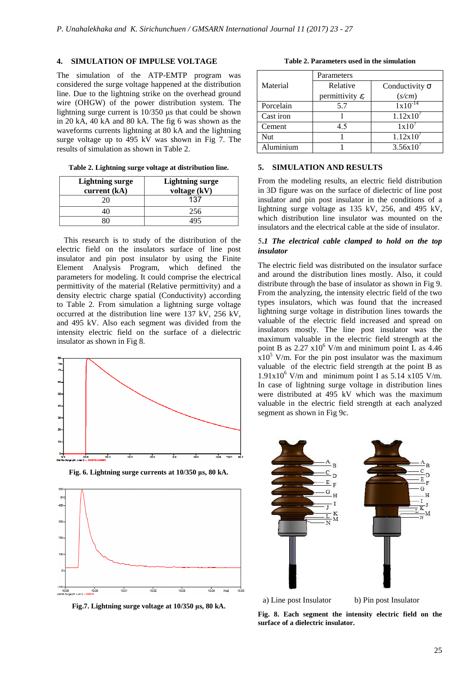## **4. SIMULATION OF IMPULSE VOLTAGE**

The simulation of the ATP-EMTP program was considered the surge voltage happened at the distribution line. Due to the lightning strike on the overhead ground wire (OHGW) of the power distribution system. The lightning surge current is 10/350 μs that could be shown in 20 kA, 40 kA and 80 kA. The fig 6 was shown as the waveforms currents lightning at 80 kA and the lightning surge voltage up to 495 kV was shown in Fig 7. The results of simulation as shown in Table 2.

**Table 2. Lightning surge voltage at distribution line.** 

| <b>Lightning surge</b><br>current $(kA)$ | <b>Lightning surge</b><br>voltage (kV) |
|------------------------------------------|----------------------------------------|
| 20                                       | 137                                    |
|                                          | 256                                    |
|                                          |                                        |

This research is to study of the distribution of the electric field on the insulators surface of line post insulator and pin post insulator by using the Finite Element Analysis Program, which defined the parameters for modeling. It could comprise the electrical permittivity of the material (Relative permittivity) and a density electric charge spatial (Conductivity) according to Table 2. From simulation a lightning surge voltage occurred at the distribution line were 137 kV, 256 kV, and 495 kV. Also each segment was divided from the intensity electric field on the surface of a dielectric insulator as shown in Fig 8.



**Fig. 6. Lightning surge currents at 10/350 μs, 80 kA.** 



**Fig.7. Lightning surge voltage at 10/350 μs, 80 kA.**

**Table 2. Parameters used in the simulation**

|           | Parameters                   |                       |
|-----------|------------------------------|-----------------------|
| Material  | Relative                     | Conductivity $\sigma$ |
|           | permittivity $\varepsilon_r$ | (s/cm)                |
| Porcelain | 5.7                          | $1x10^{-14}$          |
| Cast iron |                              | $1.12x10^{7}$         |
| Cement    | 4.5                          | 1x10'                 |
| Nut       |                              | $1.12x10^{7}$         |
| Aluminium |                              | $3.56x10^{7}$         |

# **5. SIMULATION AND RESULTS**

From the modeling results, an electric field distribution in 3D figure was on the surface of dielectric of line post insulator and pin post insulator in the conditions of a lightning surge voltage as 135 kV, 256, and 495 kV, which distribution line insulator was mounted on the insulators and the electrical cable at the side of insulator.

# 5**.***1 The electrical cable clamp clamped to hold on the top insulator*

The electric field was distributed on the insulator surface and around the distribution lines mostly. Also, it could distribute through the base of insulator as shown in Fig 9. From the analyzing, the intensity electric field of the two types insulators, which was found that the increased lightning surge voltage in distribution lines towards the valuable of the electric field increased and spread on insulators mostly. The line post insulator was the maximum valuable in the electric field strength at the point B as  $2.27 \times 10^6$  V/m and minimum point L as 4.46  $x10^5$  V/m. For the pin post insulator was the maximum valuable of the electric field strength at the point B as  $1.91x10^6$  V/m and minimum point I as 5.14 x105 V/m. In case of lightning surge voltage in distribution lines were distributed at 495 kV which was the maximum valuable in the electric field strength at each analyzed segment as shown in Fig 9c.



**Fig. 8. Each segment the intensity electric field on the surface of a dielectric insulator insulator.**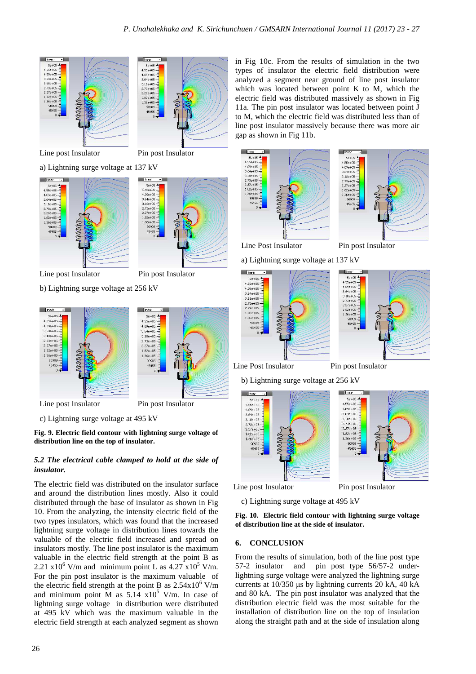



Line post Insulator Pin post Insulator

a) Lightning surge voltage at 137 kV



Line post Insulator Pin post Insulator

b) Lightning surge voltage at 256 kV



c) Lightning surge voltage at 495 kV

**Fig. 9. Electric field contour with lightning surge voltage of distribution line on the top of insulator.** 

# *5.2 The electrical cable clamped to hold at the side of insulator.*

The electric field was distributed on the insulator surface and around the distribution lines mostly. Also it could distributed through the base of insulator as shown in Fig 10. From the analyzing, the intensity electric field of the two types insulators, which was found that the increased lightning surge voltage in distribution lines towards the valuable of the electric field increased and spread on insulators mostly. The line post insulator is the maximum valuable in the electric field strength at the point B as 2.21  $x10^6$  V/m and minimum point L as 4.27  $x10^5$  V/m. For the pin post insulator is the maximum valuable of the electric field strength at the point B as  $2.54 \times 10^6$  V/m and minimum point M as  $5.14 \times 10^5$  V/m. In case of lightning surge voltage in distribution were distributed at 495 kV which was the maximum valuable in the electric field strength at each analyzed segment as shown

in Fig 10c. From the results of simulation in the two types of insulator the electric field distribution were analyzed a segment near ground of line post insulator which was located between point K to M, which the electric field was distributed massively as shown in Fig 11a. The pin post insulator was located between point J to M, which the electric field was distributed less than of line post insulator massively because there was more air gap as shown in Fig 11b.





Line Post Insulator Pin post Insulator

a) Lightning surge voltage at 137 kV



# Line Post Insulator Pin post Insulator

b) Lightning surge voltage at 256 kV





c) Lightning surge voltage at 495 kV

**Fig. 10. Electric field contour with lightning surge voltage of distribution line at the side of insulator.** 

#### **6. CONCLUSION**

From the results of simulation, both of the line post type 57-2 insulator and pin post type 56/57-2 underlightning surge voltage were analyzed the lightning surge currents at 10/350 μs by lightning currents 20 kA, 40 kA and 80 kA. The pin post insulator was analyzed that the distribution electric field was the most suitable for the installation of distribution line on the top of insulation along the straight path and at the side of insulation along